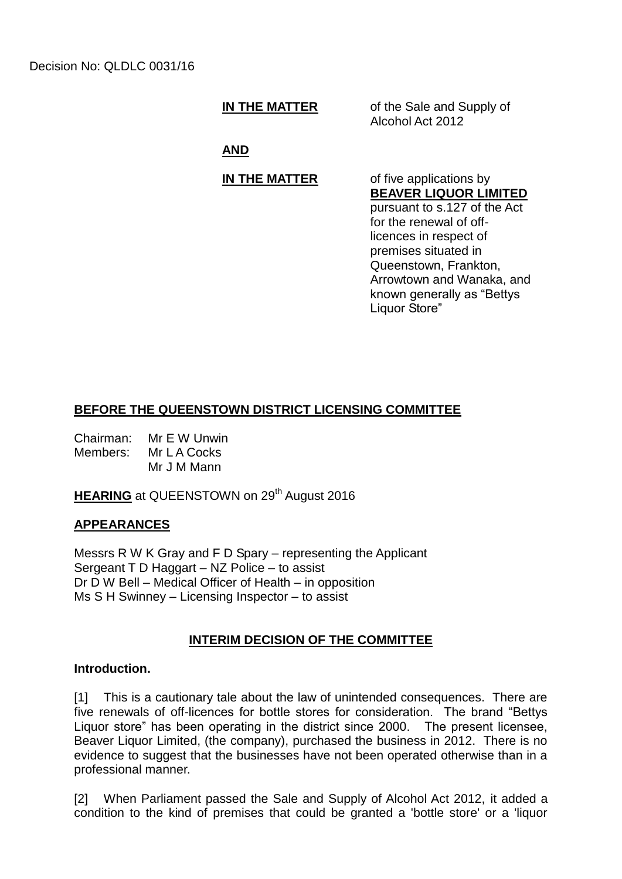**IN THE MATTER** of the Sale and Supply of Alcohol Act 2012

**AND**

# **IN THE MATTER** of five applications by

# **BEAVER LIQUOR LIMITED**

pursuant to s.127 of the Act for the renewal of offlicences in respect of premises situated in Queenstown, Frankton, Arrowtown and Wanaka, and known generally as "Bettys Liquor Store"

# **BEFORE THE QUEENSTOWN DISTRICT LICENSING COMMITTEE**

Chairman: Mr E W Unwin Members: Mr L A Cocks Mr J M Mann

**HEARING** at QUEENSTOWN on 29<sup>th</sup> August 2016

# **APPEARANCES**

Messrs R W K Gray and F D Spary – representing the Applicant Sergeant T D Haggart – NZ Police – to assist Dr D W Bell – Medical Officer of Health – in opposition Ms S H Swinney – Licensing Inspector – to assist

# **INTERIM DECISION OF THE COMMITTEE**

#### **Introduction.**

[1] This is a cautionary tale about the law of unintended consequences. There are five renewals of off-licences for bottle stores for consideration. The brand "Bettys Liquor store" has been operating in the district since 2000. The present licensee, Beaver Liquor Limited, (the company), purchased the business in 2012. There is no evidence to suggest that the businesses have not been operated otherwise than in a professional manner.

[2] When Parliament passed the Sale and Supply of Alcohol Act 2012, it added a condition to the kind of premises that could be granted a 'bottle store' or a 'liquor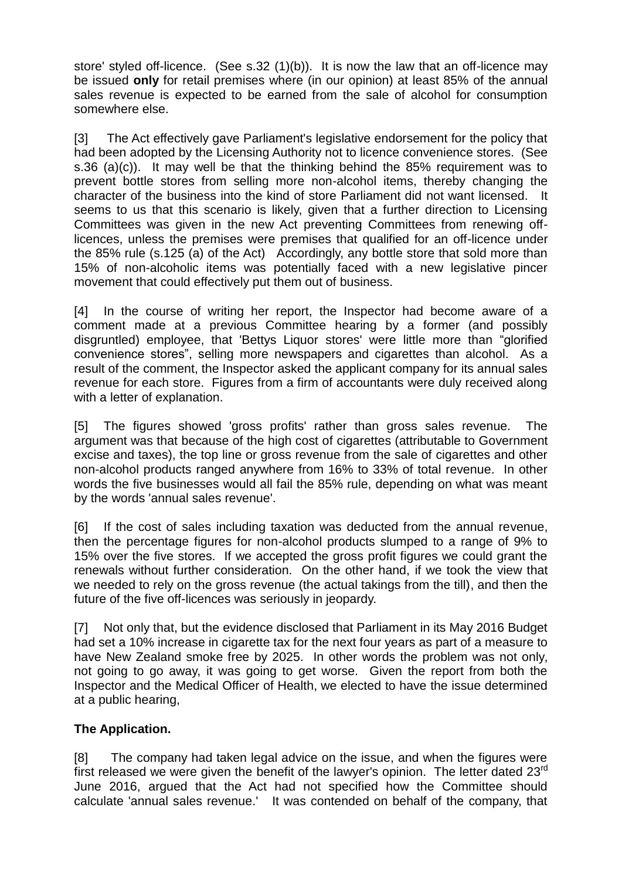store' styled off-licence. (See s.32 (1)(b)). It is now the law that an off-licence may be issued **only** for retail premises where (in our opinion) at least 85% of the annual sales revenue is expected to be earned from the sale of alcohol for consumption somewhere else.

[3] The Act effectively gave Parliament's legislative endorsement for the policy that had been adopted by the Licensing Authority not to licence convenience stores. (See s.36 (a)(c)). It may well be that the thinking behind the 85% requirement was to prevent bottle stores from selling more non-alcohol items, thereby changing the character of the business into the kind of store Parliament did not want licensed. It seems to us that this scenario is likely, given that a further direction to Licensing Committees was given in the new Act preventing Committees from renewing offlicences, unless the premises were premises that qualified for an off-licence under the 85% rule (s.125 (a) of the Act) Accordingly, any bottle store that sold more than 15% of non-alcoholic items was potentially faced with a new legislative pincer movement that could effectively put them out of business.

[4] In the course of writing her report, the Inspector had become aware of a comment made at a previous Committee hearing by a former (and possibly disgruntled) employee, that 'Bettys Liquor stores' were little more than "glorified convenience stores", selling more newspapers and cigarettes than alcohol. As a result of the comment, the Inspector asked the applicant company for its annual sales revenue for each store. Figures from a firm of accountants were duly received along with a letter of explanation.

[5] The figures showed 'gross profits' rather than gross sales revenue. The argument was that because of the high cost of cigarettes (attributable to Government excise and taxes), the top line or gross revenue from the sale of cigarettes and other non-alcohol products ranged anywhere from 16% to 33% of total revenue. In other words the five businesses would all fail the 85% rule, depending on what was meant by the words 'annual sales revenue'.

[6] If the cost of sales including taxation was deducted from the annual revenue, then the percentage figures for non-alcohol products slumped to a range of 9% to 15% over the five stores. If we accepted the gross profit figures we could grant the renewals without further consideration. On the other hand, if we took the view that we needed to rely on the gross revenue (the actual takings from the till), and then the future of the five off-licences was seriously in jeopardy.

[7] Not only that, but the evidence disclosed that Parliament in its May 2016 Budget had set a 10% increase in cigarette tax for the next four years as part of a measure to have New Zealand smoke free by 2025. In other words the problem was not only, not going to go away, it was going to get worse. Given the report from both the Inspector and the Medical Officer of Health, we elected to have the issue determined at a public hearing,

# **The Application.**

[8] The company had taken legal advice on the issue, and when the figures were first released we were given the benefit of the lawyer's opinion. The letter dated 23<sup>rd</sup> June 2016, argued that the Act had not specified how the Committee should calculate 'annual sales revenue.' It was contended on behalf of the company, that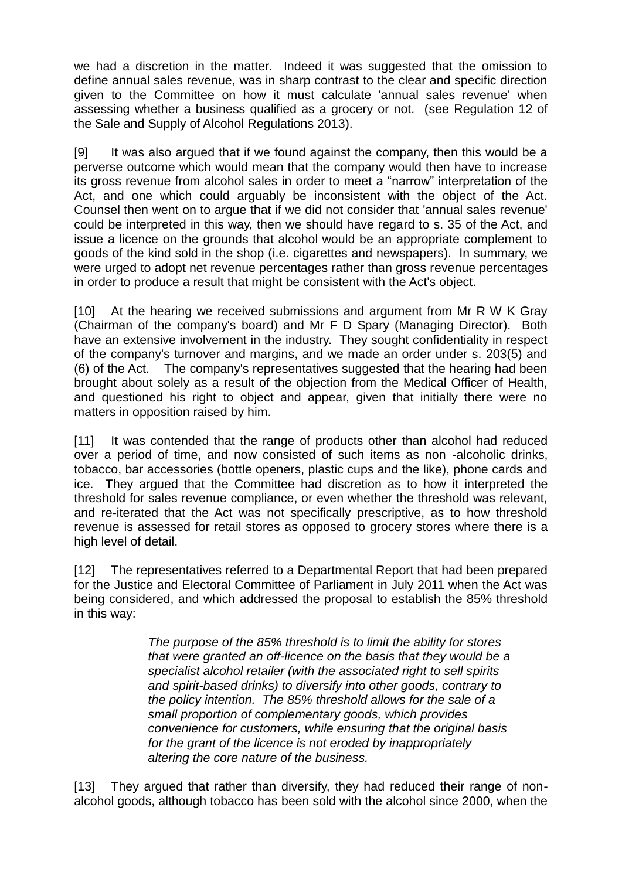we had a discretion in the matter. Indeed it was suggested that the omission to define annual sales revenue, was in sharp contrast to the clear and specific direction given to the Committee on how it must calculate 'annual sales revenue' when assessing whether a business qualified as a grocery or not. (see Regulation 12 of the Sale and Supply of Alcohol Regulations 2013).

[9] It was also argued that if we found against the company, then this would be a perverse outcome which would mean that the company would then have to increase its gross revenue from alcohol sales in order to meet a "narrow" interpretation of the Act, and one which could arguably be inconsistent with the object of the Act. Counsel then went on to argue that if we did not consider that 'annual sales revenue' could be interpreted in this way, then we should have regard to s. 35 of the Act, and issue a licence on the grounds that alcohol would be an appropriate complement to goods of the kind sold in the shop (i.e. cigarettes and newspapers). In summary, we were urged to adopt net revenue percentages rather than gross revenue percentages in order to produce a result that might be consistent with the Act's object.

[10] At the hearing we received submissions and argument from Mr R W K Gray (Chairman of the company's board) and Mr F D Spary (Managing Director). Both have an extensive involvement in the industry. They sought confidentiality in respect of the company's turnover and margins, and we made an order under s. 203(5) and (6) of the Act. The company's representatives suggested that the hearing had been brought about solely as a result of the objection from the Medical Officer of Health, and questioned his right to object and appear, given that initially there were no matters in opposition raised by him.

[11] It was contended that the range of products other than alcohol had reduced over a period of time, and now consisted of such items as non -alcoholic drinks, tobacco, bar accessories (bottle openers, plastic cups and the like), phone cards and ice. They argued that the Committee had discretion as to how it interpreted the threshold for sales revenue compliance, or even whether the threshold was relevant, and re-iterated that the Act was not specifically prescriptive, as to how threshold revenue is assessed for retail stores as opposed to grocery stores where there is a high level of detail.

[12] The representatives referred to a Departmental Report that had been prepared for the Justice and Electoral Committee of Parliament in July 2011 when the Act was being considered, and which addressed the proposal to establish the 85% threshold in this way:

> *The purpose of the 85% threshold is to limit the ability for stores that were granted an off-licence on the basis that they would be a specialist alcohol retailer (with the associated right to sell spirits and spirit-based drinks) to diversify into other goods, contrary to the policy intention. The 85% threshold allows for the sale of a small proportion of complementary goods, which provides convenience for customers, while ensuring that the original basis for the grant of the licence is not eroded by inappropriately altering the core nature of the business.*

[13] They argued that rather than diversify, they had reduced their range of nonalcohol goods, although tobacco has been sold with the alcohol since 2000, when the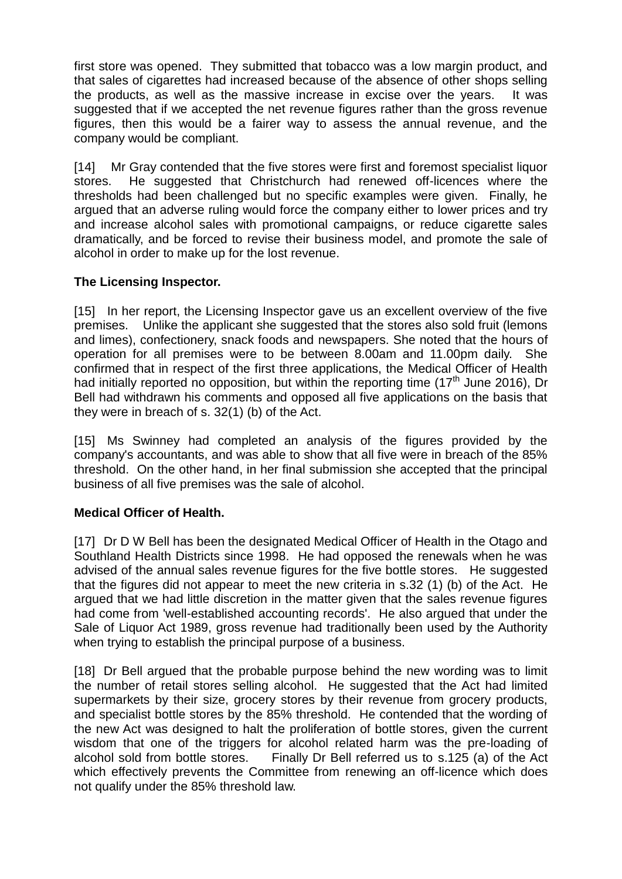first store was opened. They submitted that tobacco was a low margin product, and that sales of cigarettes had increased because of the absence of other shops selling the products, as well as the massive increase in excise over the years. It was suggested that if we accepted the net revenue figures rather than the gross revenue figures, then this would be a fairer way to assess the annual revenue, and the company would be compliant.

[14] Mr Gray contended that the five stores were first and foremost specialist liquor stores. He suggested that Christchurch had renewed off-licences where the thresholds had been challenged but no specific examples were given. Finally, he argued that an adverse ruling would force the company either to lower prices and try and increase alcohol sales with promotional campaigns, or reduce cigarette sales dramatically, and be forced to revise their business model, and promote the sale of alcohol in order to make up for the lost revenue.

### **The Licensing Inspector.**

[15] In her report, the Licensing Inspector gave us an excellent overview of the five premises. Unlike the applicant she suggested that the stores also sold fruit (lemons and limes), confectionery, snack foods and newspapers. She noted that the hours of operation for all premises were to be between 8.00am and 11.00pm daily. She confirmed that in respect of the first three applications, the Medical Officer of Health had initially reported no opposition, but within the reporting time (17<sup>th</sup> June 2016). Dr Bell had withdrawn his comments and opposed all five applications on the basis that they were in breach of s. 32(1) (b) of the Act.

[15] Ms Swinney had completed an analysis of the figures provided by the company's accountants, and was able to show that all five were in breach of the 85% threshold. On the other hand, in her final submission she accepted that the principal business of all five premises was the sale of alcohol.

# **Medical Officer of Health.**

[17] Dr D W Bell has been the designated Medical Officer of Health in the Otago and Southland Health Districts since 1998. He had opposed the renewals when he was advised of the annual sales revenue figures for the five bottle stores. He suggested that the figures did not appear to meet the new criteria in s.32 (1) (b) of the Act. He argued that we had little discretion in the matter given that the sales revenue figures had come from 'well-established accounting records'. He also argued that under the Sale of Liquor Act 1989, gross revenue had traditionally been used by the Authority when trying to establish the principal purpose of a business.

[18] Dr Bell argued that the probable purpose behind the new wording was to limit the number of retail stores selling alcohol. He suggested that the Act had limited supermarkets by their size, grocery stores by their revenue from grocery products, and specialist bottle stores by the 85% threshold. He contended that the wording of the new Act was designed to halt the proliferation of bottle stores, given the current wisdom that one of the triggers for alcohol related harm was the pre-loading of alcohol sold from bottle stores. Finally Dr Bell referred us to s.125 (a) of the Act which effectively prevents the Committee from renewing an off-licence which does not qualify under the 85% threshold law.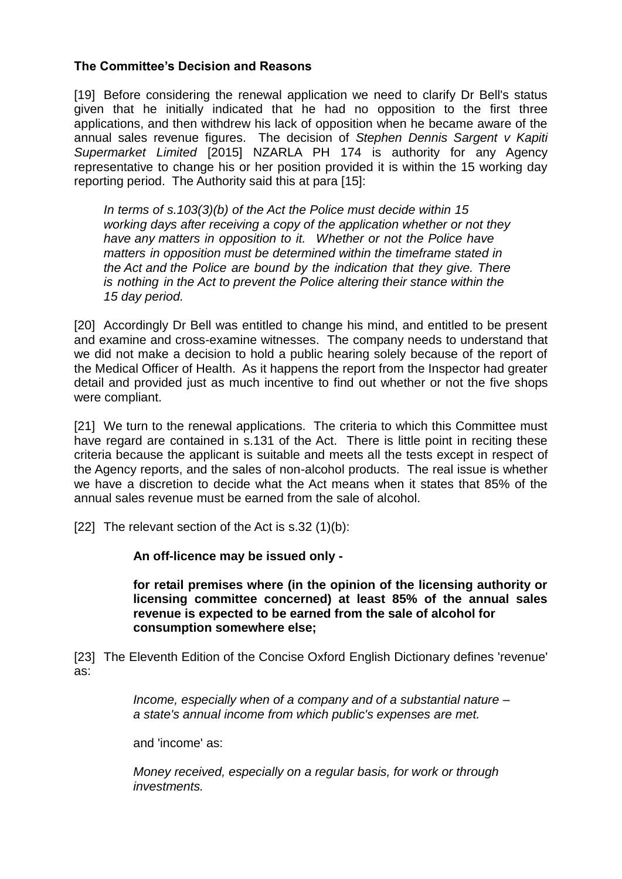## **The Committee's Decision and Reasons**

[19] Before considering the renewal application we need to clarify Dr Bell's status given that he initially indicated that he had no opposition to the first three applications, and then withdrew his lack of opposition when he became aware of the annual sales revenue figures. The decision of *Stephen Dennis Sargent v Kapiti Supermarket Limited* [2015] NZARLA PH 174 is authority for any Agency representative to change his or her position provided it is within the 15 working day reporting period. The Authority said this at para [15]:

*In terms of s.103(3)(b) of the Act the Police must decide within 15 working days after receiving a copy of the application whether or not they have any matters in opposition to it. Whether or not the Police have matters in opposition must be determined within the timeframe stated in the Act and the Police are bound by the indication that they give. There is nothing in the Act to prevent the Police altering their stance within the 15 day period.*

[20] Accordingly Dr Bell was entitled to change his mind, and entitled to be present and examine and cross-examine witnesses. The company needs to understand that we did not make a decision to hold a public hearing solely because of the report of the Medical Officer of Health. As it happens the report from the Inspector had greater detail and provided just as much incentive to find out whether or not the five shops were compliant.

[21] We turn to the renewal applications. The criteria to which this Committee must have regard are contained in s.131 of the Act. There is little point in reciting these criteria because the applicant is suitable and meets all the tests except in respect of the Agency reports, and the sales of non-alcohol products. The real issue is whether we have a discretion to decide what the Act means when it states that 85% of the annual sales revenue must be earned from the sale of alcohol.

[22] The relevant section of the Act is  $s.32$  (1)(b):

**An off-licence may be issued only -**

**for retail premises where (in the opinion of the licensing authority or licensing committee concerned) at least 85% of the annual sales revenue is expected to be earned from the sale of alcohol for consumption somewhere else;**

[23] The Eleventh Edition of the Concise Oxford English Dictionary defines 'revenue' as:

> *Income, especially when of a company and of a substantial nature – a state's annual income from which public's expenses are met.*

and 'income' as:

*Money received, especially on a regular basis, for work or through investments.*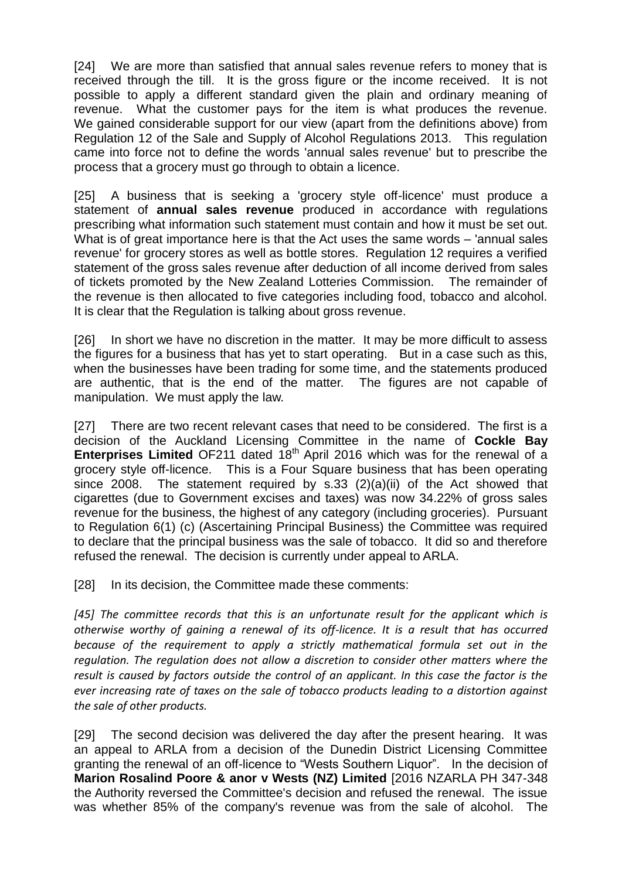[24] We are more than satisfied that annual sales revenue refers to money that is received through the till. It is the gross figure or the income received. It is not possible to apply a different standard given the plain and ordinary meaning of revenue. What the customer pays for the item is what produces the revenue. We gained considerable support for our view (apart from the definitions above) from Regulation 12 of the Sale and Supply of Alcohol Regulations 2013. This regulation came into force not to define the words 'annual sales revenue' but to prescribe the process that a grocery must go through to obtain a licence.

[25] A business that is seeking a 'grocery style off-licence' must produce a statement of **annual sales revenue** produced in accordance with regulations prescribing what information such statement must contain and how it must be set out. What is of great importance here is that the Act uses the same words – 'annual sales revenue' for grocery stores as well as bottle stores. Regulation 12 requires a verified statement of the gross sales revenue after deduction of all income derived from sales of tickets promoted by the New Zealand Lotteries Commission. The remainder of the revenue is then allocated to five categories including food, tobacco and alcohol. It is clear that the Regulation is talking about gross revenue.

[26] In short we have no discretion in the matter. It may be more difficult to assess the figures for a business that has yet to start operating. But in a case such as this, when the businesses have been trading for some time, and the statements produced are authentic, that is the end of the matter. The figures are not capable of manipulation. We must apply the law.

[27] There are two recent relevant cases that need to be considered. The first is a decision of the Auckland Licensing Committee in the name of **Cockle Bay Enterprises Limited** OF211 dated 18<sup>th</sup> April 2016 which was for the renewal of a grocery style off-licence. This is a Four Square business that has been operating since 2008. The statement required by s.33 (2)(a)(ii) of the Act showed that cigarettes (due to Government excises and taxes) was now 34.22% of gross sales revenue for the business, the highest of any category (including groceries). Pursuant to Regulation 6(1) (c) (Ascertaining Principal Business) the Committee was required to declare that the principal business was the sale of tobacco. It did so and therefore refused the renewal. The decision is currently under appeal to ARLA.

[28] In its decision, the Committee made these comments:

*[45] The committee records that this is an unfortunate result for the applicant which is otherwise worthy of gaining a renewal of its off-licence. It is a result that has occurred because of the requirement to apply a strictly mathematical formula set out in the regulation. The regulation does not allow a discretion to consider other matters where the result is caused by factors outside the control of an applicant. In this case the factor is the ever increasing rate of taxes on the sale of tobacco products leading to a distortion against the sale of other products.* 

[29] The second decision was delivered the day after the present hearing. It was an appeal to ARLA from a decision of the Dunedin District Licensing Committee granting the renewal of an off-licence to "Wests Southern Liquor". In the decision of **Marion Rosalind Poore & anor v Wests (NZ) Limited** [2016 NZARLA PH 347-348 the Authority reversed the Committee's decision and refused the renewal. The issue was whether 85% of the company's revenue was from the sale of alcohol. The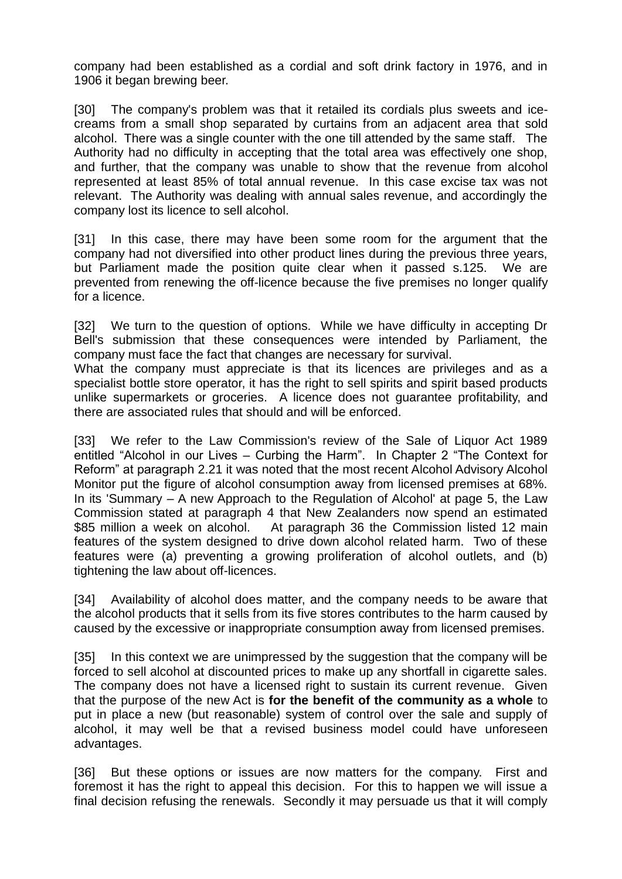company had been established as a cordial and soft drink factory in 1976, and in 1906 it began brewing beer.

[30] The company's problem was that it retailed its cordials plus sweets and icecreams from a small shop separated by curtains from an adjacent area that sold alcohol. There was a single counter with the one till attended by the same staff. The Authority had no difficulty in accepting that the total area was effectively one shop, and further, that the company was unable to show that the revenue from alcohol represented at least 85% of total annual revenue. In this case excise tax was not relevant. The Authority was dealing with annual sales revenue, and accordingly the company lost its licence to sell alcohol.

[31] In this case, there may have been some room for the argument that the company had not diversified into other product lines during the previous three years, but Parliament made the position quite clear when it passed s.125. We are prevented from renewing the off-licence because the five premises no longer qualify for a licence.

[32] We turn to the question of options. While we have difficulty in accepting Dr Bell's submission that these consequences were intended by Parliament, the company must face the fact that changes are necessary for survival.

What the company must appreciate is that its licences are privileges and as a specialist bottle store operator, it has the right to sell spirits and spirit based products unlike supermarkets or groceries. A licence does not guarantee profitability, and there are associated rules that should and will be enforced.

[33] We refer to the Law Commission's review of the Sale of Liquor Act 1989 entitled "Alcohol in our Lives – Curbing the Harm". In Chapter 2 "The Context for Reform" at paragraph 2.21 it was noted that the most recent Alcohol Advisory Alcohol Monitor put the figure of alcohol consumption away from licensed premises at 68%. In its 'Summary – A new Approach to the Regulation of Alcohol' at page 5, the Law Commission stated at paragraph 4 that New Zealanders now spend an estimated \$85 million a week on alcohol. At paragraph 36 the Commission listed 12 main features of the system designed to drive down alcohol related harm. Two of these features were (a) preventing a growing proliferation of alcohol outlets, and (b) tightening the law about off-licences.

[34] Availability of alcohol does matter, and the company needs to be aware that the alcohol products that it sells from its five stores contributes to the harm caused by caused by the excessive or inappropriate consumption away from licensed premises.

[35] In this context we are unimpressed by the suggestion that the company will be forced to sell alcohol at discounted prices to make up any shortfall in cigarette sales. The company does not have a licensed right to sustain its current revenue. Given that the purpose of the new Act is **for the benefit of the community as a whole** to put in place a new (but reasonable) system of control over the sale and supply of alcohol, it may well be that a revised business model could have unforeseen advantages.

[36] But these options or issues are now matters for the company. First and foremost it has the right to appeal this decision. For this to happen we will issue a final decision refusing the renewals. Secondly it may persuade us that it will comply